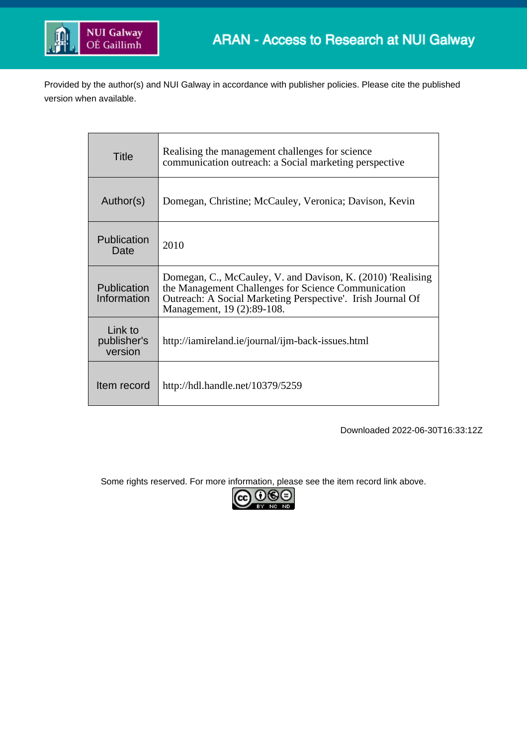

Provided by the author(s) and NUI Galway in accordance with publisher policies. Please cite the published version when available.

| Title                             | Realising the management challenges for science<br>communication outreach: a Social marketing perspective                                                                                                       |
|-----------------------------------|-----------------------------------------------------------------------------------------------------------------------------------------------------------------------------------------------------------------|
| Author(s)                         | Domegan, Christine; McCauley, Veronica; Davison, Kevin                                                                                                                                                          |
| Publication<br>Date               | 2010                                                                                                                                                                                                            |
| Publication<br>Information        | Domegan, C., McCauley, V. and Davison, K. (2010) 'Realising<br>the Management Challenges for Science Communication<br>Outreach: A Social Marketing Perspective'. Irish Journal Of<br>Management, 19 (2):89-108. |
| Link to<br>publisher's<br>version | http://iamireland.ie/journal/ijm-back-issues.html                                                                                                                                                               |
| Item record                       | http://hdl.handle.net/10379/5259                                                                                                                                                                                |

Downloaded 2022-06-30T16:33:12Z

Some rights reserved. For more information, please see the item record link above.

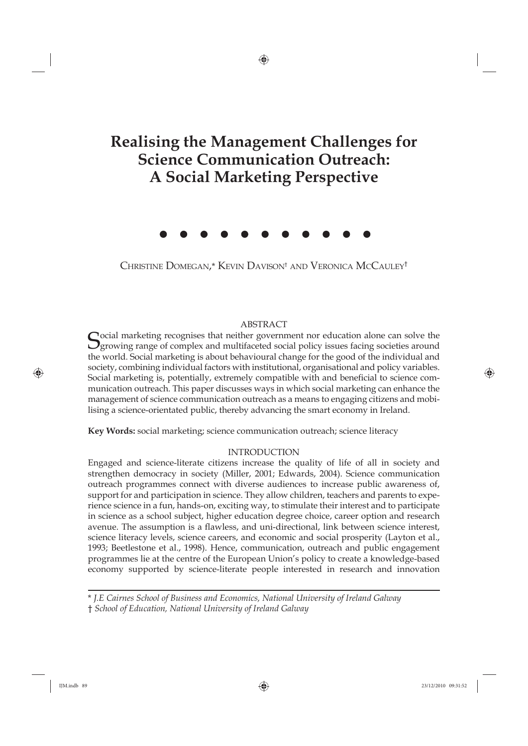# **Realising the Management Challenges for Science Communication Outreach: A Social Marketing Perspective**

⊕

CHRISTINE DOMEGAN,\* KEVIN DAVISON† AND VERONICA MCCAULEY†

# ABSTRACT

Cocial marketing recognises that neither government nor education alone can solve the  $\mathcal{O}_{\text{growing range}}$  of complex and multifaceted social policy issues facing societies around the world. Social marketing is about behavioural change for the good of the individual and society, combining individual factors with institutional, organisational and policy variables. Social marketing is, potentially, extremely compatible with and beneficial to science communication outreach. This paper discusses ways in which social marketing can enhance the management of science communication outreach as a means to engaging citizens and mobilising a science-orientated public, thereby advancing the smart economy in Ireland.

**Key Words:** social marketing; science communication outreach; science literacy

# INTRODUCTION

Engaged and science-literate citizens increase the quality of life of all in society and strengthen democracy in society (Miller, 2001; Edwards, 2004). Science communication outreach programmes connect with diverse audiences to increase public awareness of, support for and participation in science. They allow children, teachers and parents to experience science in a fun, hands-on, exciting way, to stimulate their interest and to participate in science as a school subject, higher education degree choice, career option and research avenue. The assumption is a flawless, and uni-directional, link between science interest, science literacy levels, science careers, and economic and social prosperity (Layton et al., 1993; Beetlestone et al., 1998). Hence, communication, outreach and public engagement programmes lie at the centre of the European Union's policy to create a knowledge-based economy supported by science-literate people interested in research and innovation

\* *J.E Cairnes School of Business and Economics, National University of Ireland Galway* † *School of Education, National University of Ireland Galway*

⊕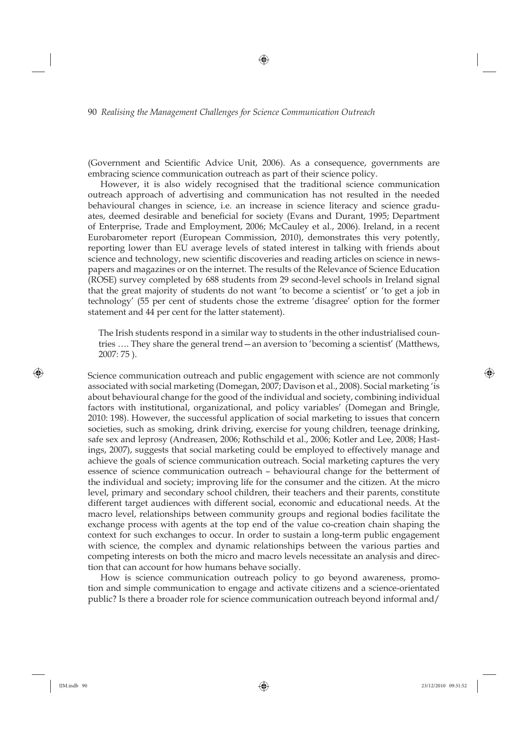(Government and Scientific Advice Unit, 2006). As a consequence, governments are embracing science communication outreach as part of their science policy.

⊕

However, it is also widely recognised that the traditional science communication outreach approach of advertising and communication has not resulted in the needed behavioural changes in science, i.e. an increase in science literacy and science graduates, deemed desirable and beneficial for society (Evans and Durant, 1995; Department of Enterprise, Trade and Employment, 2006; McCauley et al., 2006). Ireland, in a recent Eurobarometer report (European Commission, 2010), demonstrates this very potently, reporting lower than EU average levels of stated interest in talking with friends about science and technology, new scientific discoveries and reading articles on science in newspapers and magazines or on the internet. The results of the Relevance of Science Education (ROSE) survey completed by 688 students from 29 second-level schools in Ireland signal that the great majority of students do not want 'to become a scientist' or 'to get a job in technology' (55 per cent of students chose the extreme 'disagree' option for the former statement and 44 per cent for the latter statement).

The Irish students respond in a similar way to students in the other industrialised countries …. They share the general trend—an aversion to 'becoming a scientist' (Matthews, 2007: 75 ).

Science communication outreach and public engagement with science are not commonly associated with social marketing (Domegan, 2007; Davison et al., 2008). Social marketing 'is about behavioural change for the good of the individual and society, combining individual factors with institutional, organizational, and policy variables' (Domegan and Bringle, 2010: 198). However, the successful application of social marketing to issues that concern societies, such as smoking, drink driving, exercise for young children, teenage drinking, safe sex and leprosy (Andreasen, 2006; Rothschild et al., 2006; Kotler and Lee, 2008; Hastings, 2007), suggests that social marketing could be employed to effectively manage and achieve the goals of science communication outreach. Social marketing captures the very essence of science communication outreach – behavioural change for the betterment of the individual and society; improving life for the consumer and the citizen. At the micro level, primary and secondary school children, their teachers and their parents, constitute different target audiences with different social, economic and educational needs. At the macro level, relationships between community groups and regional bodies facilitate the exchange process with agents at the top end of the value co-creation chain shaping the context for such exchanges to occur. In order to sustain a long-term public engagement with science, the complex and dynamic relationships between the various parties and competing interests on both the micro and macro levels necessitate an analysis and direction that can account for how humans behave socially.

How is science communication outreach policy to go beyond awareness, promotion and simple communication to engage and activate citizens and a science-orientated public? Is there a broader role for science communication outreach beyond informal and/

⊕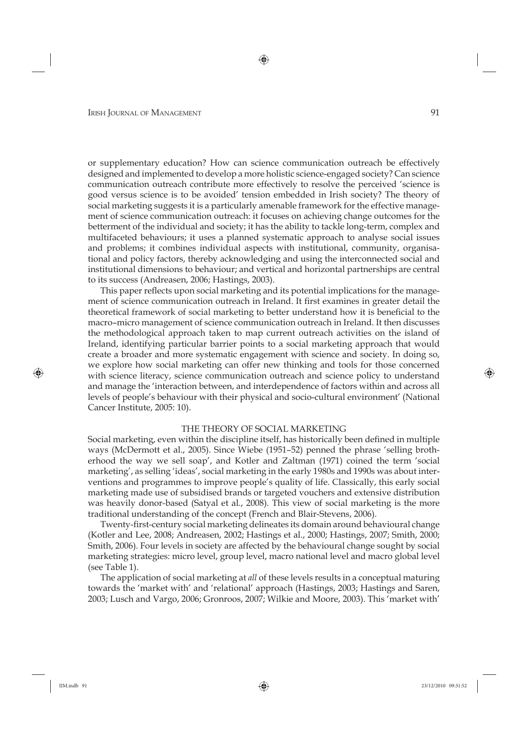or supplementary education? How can science communication outreach be effectively designed and implemented to develop a more holistic science-engaged society? Can science communication outreach contribute more effectively to resolve the perceived 'science is good versus science is to be avoided' tension embedded in Irish society? The theory of social marketing suggests it is a particularly amenable framework for the effective management of science communication outreach: it focuses on achieving change outcomes for the betterment of the individual and society; it has the ability to tackle long-term, complex and multifaceted behaviours; it uses a planned systematic approach to analyse social issues and problems; it combines individual aspects with institutional, community, organisational and policy factors, thereby acknowledging and using the interconnected social and institutional dimensions to behaviour; and vertical and horizontal partnerships are central to its success (Andreasen, 2006; Hastings, 2003).

This paper reflects upon social marketing and its potential implications for the management of science communication outreach in Ireland. It first examines in greater detail the theoretical framework of social marketing to better understand how it is beneficial to the macro–micro management of science communication outreach in Ireland. It then discusses the methodological approach taken to map current outreach activities on the island of Ireland, identifying particular barrier points to a social marketing approach that would create a broader and more systematic engagement with science and society. In doing so, we explore how social marketing can offer new thinking and tools for those concerned with science literacy, science communication outreach and science policy to understand and manage the 'interaction between, and interdependence of factors within and across all levels of people's behaviour with their physical and socio-cultural environment' (National Cancer Institute, 2005: 10).

### THE THEORY OF SOCIAL MARKETING

Social marketing, even within the discipline itself, has historically been defined in multiple ways (McDermott et al., 2005). Since Wiebe (1951–52) penned the phrase 'selling brotherhood the way we sell soap', and Kotler and Zaltman (1971) coined the term 'social marketing', as selling 'ideas', social marketing in the early 1980s and 1990s was about interventions and programmes to improve people's quality of life. Classically, this early social marketing made use of subsidised brands or targeted vouchers and extensive distribution was heavily donor-based (Satyal et al., 2008). This view of social marketing is the more traditional understanding of the concept (French and Blair-Stevens, 2006).

Twenty-first-century social marketing delineates its domain around behavioural change (Kotler and Lee, 2008; Andreasen, 2002; Hastings et al., 2000; Hastings, 2007; Smith, 2000; Smith, 2006). Four levels in society are affected by the behavioural change sought by social marketing strategies: micro level, group level, macro national level and macro global level (see Table 1).

The application of social marketing at *all* of these levels results in a conceptual maturing towards the 'market with' and 'relational' approach (Hastings, 2003; Hastings and Saren, 2003; Lusch and Vargo, 2006; Gronroos, 2007; Wilkie and Moore, 2003). This 'market with'

⊕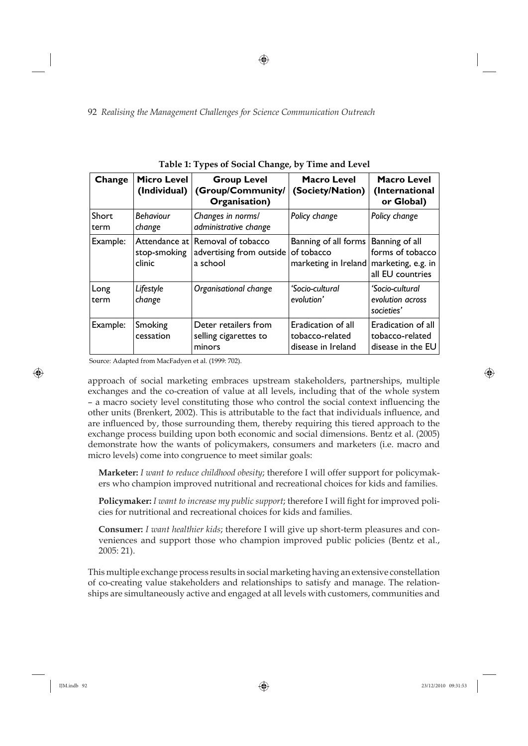⊕

92 *Realising the Management Challenges for Science Communication Outreach*

| Change        | Micro Level<br>(Individual) | <b>Group Level</b><br>(Group/Community/<br>Organisation)                 | <b>Macro Level</b><br>(Society/Nation)                                          | <b>Macro Level</b><br>(International<br>or Global)         |
|---------------|-----------------------------|--------------------------------------------------------------------------|---------------------------------------------------------------------------------|------------------------------------------------------------|
| Short<br>term | <b>Behaviour</b><br>change  | Changes in norms/<br>administrative change                               | Policy change                                                                   | Policy change                                              |
| Example:      | stop-smoking<br>clinic      | Attendance at Removal of tobacco<br>advertising from outside<br>a school | Banning of all forms<br>of tobacco<br>marketing in Ireland   marketing, e.g. in | Banning of all<br>forms of tobacco<br>all EU countries     |
| Long<br>term  | Lifestyle<br>change         | Organisational change                                                    | 'Socio-cultural<br>evolution'                                                   | 'Socio-cultural<br>evolution across<br>societies'          |
| Example:      | Smoking<br>cessation        | Deter retailers from<br>selling cigarettes to<br>minors                  | Eradication of all<br>tobacco-related<br>disease in Ireland                     | Eradication of all<br>tobacco-related<br>disease in the EU |

|  |  | Table 1: Types of Social Change, by Time and Level |
|--|--|----------------------------------------------------|
|--|--|----------------------------------------------------|

Source: Adapted from MacFadyen et al. (1999: 702).

approach of social marketing embraces upstream stakeholders, partnerships, multiple exchanges and the co-creation of value at all levels, including that of the whole system – a macro society level constituting those who control the social context influencing the other units (Brenkert, 2002). This is attributable to the fact that individuals influence, and are influenced by, those surrounding them, thereby requiring this tiered approach to the exchange process building upon both economic and social dimensions. Bentz et al. (2005) demonstrate how the wants of policymakers, consumers and marketers (i.e. macro and micro levels) come into congruence to meet similar goals:

**Marketer:** *I want to reduce childhood obesity*; therefore I will offer support for policymakers who champion improved nutritional and recreational choices for kids and families.

**Policymaker:** *I want to increase my public support;* therefore I will fight for improved policies for nutritional and recreational choices for kids and families.

**Consumer:** *I want healthier kids*; therefore I will give up short-term pleasures and conveniences and support those who champion improved public policies (Bentz et al., 2005: 21).

This multiple exchange process results in social marketing having an extensive constellation of co-creating value stakeholders and relationships to satisfy and manage. The relationships are simultaneously active and engaged at all levels with customers, communities and

⊕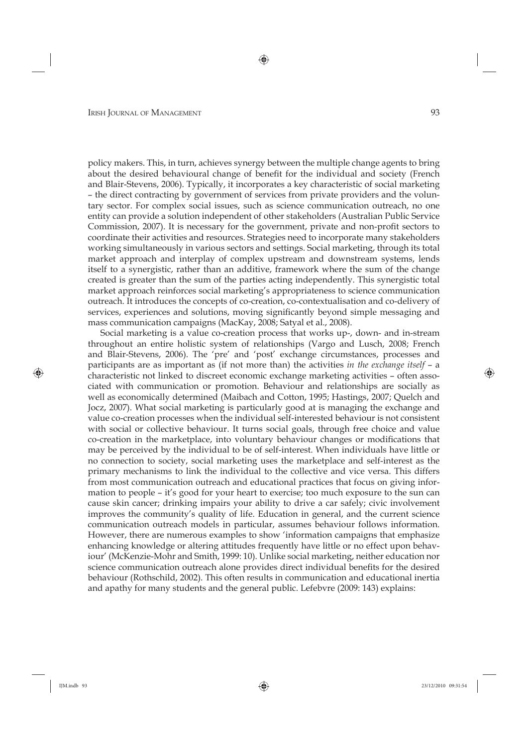policy makers. This, in turn, achieves synergy between the multiple change agents to bring about the desired behavioural change of benefit for the individual and society (French and Blair-Stevens, 2006). Typically, it incorporates a key characteristic of social marketing – the direct contracting by government of services from private providers and the voluntary sector. For complex social issues, such as science communication outreach, no one entity can provide a solution independent of other stakeholders (Australian Public Service Commission, 2007). It is necessary for the government, private and non-profi t sectors to coordinate their activities and resources. Strategies need to incorporate many stakeholders working simultaneously in various sectors and settings. Social marketing, through its total market approach and interplay of complex upstream and downstream systems, lends itself to a synergistic, rather than an additive, framework where the sum of the change created is greater than the sum of the parties acting independently. This synergistic total market approach reinforces social marketing's appropriateness to science communication outreach. It introduces the concepts of co-creation, co-contextualisation and co-delivery of services, experiences and solutions, moving significantly beyond simple messaging and mass communication campaigns (MacKay, 2008; Satyal et al., 2008).

⊕

Social marketing is a value co-creation process that works up-, down- and in-stream throughout an entire holistic system of relationships (Vargo and Lusch, 2008; French and Blair-Stevens, 2006). The 'pre' and 'post' exchange circumstances, processes and participants are as important as (if not more than) the activities *in the exchange itself* – a characteristic not linked to discreet economic exchange marketing activities – often associated with communication or promotion. Behaviour and relationships are socially as well as economically determined (Maibach and Cotton, 1995; Hastings, 2007; Quelch and Jocz, 2007). What social marketing is particularly good at is managing the exchange and value co- creation processes when the individual self-interested behaviour is not consistent with social or collective behaviour. It turns social goals, through free choice and value co-creation in the marketplace, into voluntary behaviour changes or modifications that may be perceived by the individual to be of self-interest. When individuals have little or no connection to society, social marketing uses the marketplace and self-interest as the primary mechanisms to link the individual to the collective and vice versa. This differs from most communication outreach and educational practices that focus on giving information to people – it's good for your heart to exercise; too much exposure to the sun can cause skin cancer; drinking impairs your ability to drive a car safely; civic involvement improves the community's quality of life. Education in general, and the current science communication outreach models in particular, assumes behaviour follows information. However, there are numerous examples to show 'information campaigns that emphasize enhancing knowledge or altering attitudes frequently have little or no effect upon behaviour' (McKenzie-Mohr and Smith, 1999: 10). Unlike social marketing, neither education nor science communication outreach alone provides direct individual benefits for the desired behaviour (Rothschild, 2002). This often results in communication and educational inertia and apathy for many students and the general public. Lefebvre (2009: 143) explains:

◈

⊕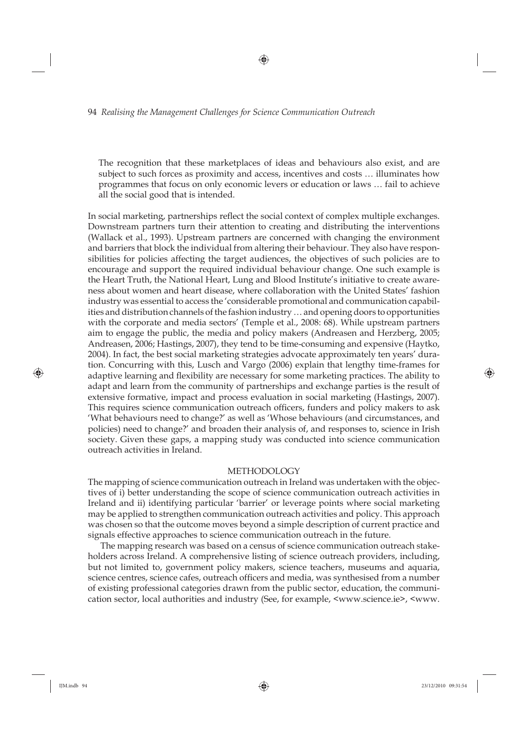The recognition that these marketplaces of ideas and behaviours also exist, and are subject to such forces as proximity and access, incentives and costs … illuminates how programmes that focus on only economic levers or education or laws … fail to achieve all the social good that is intended.

⊕

In social marketing, partnerships reflect the social context of complex multiple exchanges. Downstream partners turn their attention to creating and distributing the interventions (Wallack et al., 1993). Upstream partners are concerned with changing the environment and barriers that block the individual from altering their behaviour. They also have responsibilities for policies affecting the target audiences, the objectives of such policies are to encourage and support the required individual behaviour change. One such example is the Heart Truth, the National Heart, Lung and Blood Institute's initiative to create awareness about women and heart disease, where collaboration with the United States' fashion industry was essential to access the 'considerable promotional and communication capabilities and distribution channels of the fashion industry … and opening doors to opportunities with the corporate and media sectors' (Temple et al., 2008: 68). While upstream partners aim to engage the public, the media and policy makers (Andreasen and Herzberg, 2005; Andreasen, 2006; Hastings, 2007), they tend to be time-consuming and expensive (Haytko, 2004). In fact, the best social marketing strategies advocate approximately ten years' duration. Concurring with this, Lusch and Vargo (2006) explain that lengthy time-frames for adaptive learning and flexibility are necessary for some marketing practices. The ability to adapt and learn from the community of partnerships and exchange parties is the result of extensive formative, impact and process evaluation in social marketing (Hastings, 2007). This requires science communication outreach officers, funders and policy makers to ask 'What behaviours need to change?' as well as 'Whose behaviours (and circumstances, and policies) need to change?' and broaden their analysis of, and responses to, science in Irish society. Given these gaps, a mapping study was conducted into science communication outreach activities in Ireland.

### METHODOLOGY

The mapping of science communication outreach in Ireland was undertaken with the objectives of i) better understanding the scope of science communication outreach activities in Ireland and ii) identifying particular 'barrier' or leverage points where social marketing may be applied to strengthen communication outreach activities and policy. This approach was chosen so that the outcome moves beyond a simple description of current practice and signals effective approaches to science communication outreach in the future.

The mapping research was based on a census of science communication outreach stakeholders across Ireland. A comprehensive listing of science outreach providers, including, but not limited to, government policy makers, science teachers, museums and aquaria, science centres, science cafes, outreach officers and media, was synthesised from a number of existing professional categories drawn from the public sector, education, the communication sector, local authorities and industry (See, for example, <www.science.ie>, <www.

⊕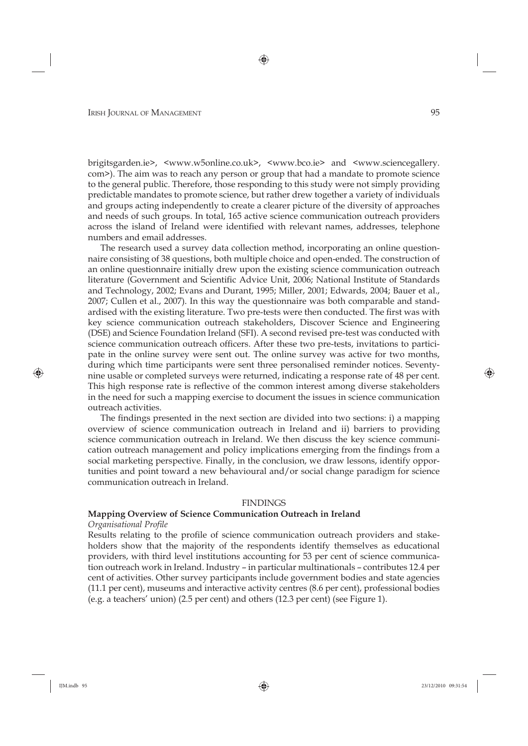brigitsgarden.ie>, <www.w5online.co.uk>, <www.bco.ie> and <www.sciencegallery. com>). The aim was to reach any person or group that had a mandate to promote science to the general public. Therefore, those responding to this study were not simply providing predictable mandates to promote science, but rather drew together a variety of individuals and groups acting independently to create a clearer picture of the diversity of approaches and needs of such groups. In total, 165 active science communication outreach providers across the island of Ireland were identified with relevant names, addresses, telephone numbers and email addresses.

The research used a survey data collection method, incorporating an online questionnaire consisting of 38 questions, both multiple choice and open-ended. The construction of an online questionnaire initially drew upon the existing science communication outreach literature (Government and Scientific Advice Unit, 2006; National Institute of Standards and Technology, 2002; Evans and Durant, 1995; Miller, 2001; Edwards, 2004; Bauer et al., 2007; Cullen et al., 2007). In this way the questionnaire was both comparable and standardised with the existing literature. Two pre-tests were then conducted. The first was with key science communication outreach stakeholders, Discover Science and Engineering (DSE) and Science Foundation Ireland (SFI). A second revised pre-test was conducted with science communication outreach officers. After these two pre-tests, invitations to participate in the online survey were sent out. The online survey was active for two months, during which time participants were sent three personalised reminder notices. Seventynine usable or completed surveys were returned, indicating a response rate of 48 per cent. This high response rate is reflective of the common interest among diverse stakeholders in the need for such a mapping exercise to document the issues in science communication outreach activities.

The findings presented in the next section are divided into two sections: i) a mapping overview of science communication outreach in Ireland and ii) barriers to providing science communication outreach in Ireland. We then discuss the key science communication outreach management and policy implications emerging from the findings from a social marketing perspective. Finally, in the conclusion, we draw lessons, identify opportunities and point toward a new behavioural and/or social change paradigm for science communication outreach in Ireland.

### FINDINGS

# **Mapping Overview of Science Communication Outreach in Ireland**

### *Organisational Profile*

Results relating to the profile of science communication outreach providers and stakeholders show that the majority of the respondents identify themselves as educational providers, with third level institutions accounting for 53 per cent of science communication outreach work in Ireland. Industry – in particular multinationals – contributes 12.4 per cent of activities. Other survey participants include government bodies and state agencies (11.1 per cent), museums and interactive activity centres (8.6 per cent), professional bodies (e.g. a teachers' union) (2.5 per cent) and others (12.3 per cent) (see Figure 1).

⊕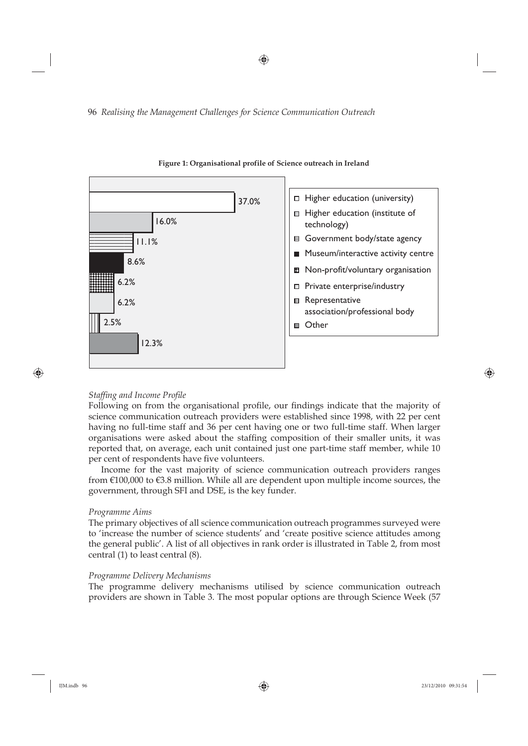⊕

96 *Realising the Management Challenges for Science Communication Outreach*



### **Figure 1: Organisational profile of Science outreach in Ireland**

### **Staffing and Income Profile**

⊕

Following on from the organisational profile, our findings indicate that the majority of science communication outreach providers were established since 1998, with 22 per cent having no full-time staff and 36 per cent having one or two full-time staff. When larger organisations were asked about the staffing composition of their smaller units, it was reported that, on average, each unit contained just one part-time staff member, while 10 per cent of respondents have five volunteers.

Income for the vast majority of science communication outreach providers ranges from  $\epsilon$ 100,000 to  $\epsilon$ 3.8 million. While all are dependent upon multiple income sources, the government, through SFI and DSE, is the key funder.

### *Programme Aims*

The primary objectives of all science communication outreach programmes surveyed were to 'increase the number of science students' and 'create positive science attitudes among the general public'. A list of all objectives in rank order is illustrated in Table 2, from most central (1) to least central (8).

### *Programme Delivery Mechanisms*

The programme delivery mechanisms utilised by science communication outreach providers are shown in Table 3. The most popular options are through Science Week (57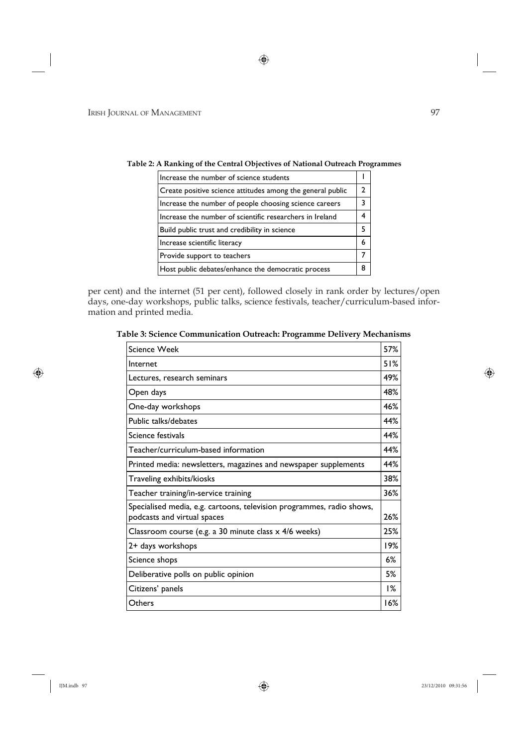| Increase the number of science students                    |   |
|------------------------------------------------------------|---|
| Create positive science attitudes among the general public |   |
| Increase the number of people choosing science careers     |   |
| Increase the number of scientific researchers in Ireland   |   |
| Build public trust and credibility in science              |   |
| Increase scientific literacy                               | 6 |
| Provide support to teachers                                |   |
| Host public debates/enhance the democratic process         | 8 |

**Table 2: A Ranking of the Central Objectives of National Outreach Programmes** 

per cent) and the internet (51 per cent), followed closely in rank order by lectures/open days, one-day workshops, public talks, science festivals, teacher/curriculum-based information and printed media.

| <b>Science Week</b>                                                                                  | 57% |
|------------------------------------------------------------------------------------------------------|-----|
| Internet                                                                                             | 51% |
| Lectures, research seminars                                                                          | 49% |
| Open days                                                                                            | 48% |
| One-day workshops                                                                                    | 46% |
| Public talks/debates                                                                                 | 44% |
| Science festivals                                                                                    | 44% |
| Teacher/curriculum-based information                                                                 | 44% |
| Printed media: newsletters, magazines and newspaper supplements                                      | 44% |
| Traveling exhibits/kiosks                                                                            | 38% |
| Teacher training/in-service training                                                                 | 36% |
| Specialised media, e.g. cartoons, television programmes, radio shows,<br>podcasts and virtual spaces | 26% |
| Classroom course (e.g. a 30 minute class x 4/6 weeks)                                                | 25% |
| 2+ days workshops                                                                                    | 19% |
| Science shops                                                                                        | 6%  |
| Deliberative polls on public opinion                                                                 | 5%  |
| Citizens' panels                                                                                     | 1%  |
| Others                                                                                               | 16% |
|                                                                                                      |     |

**Table 3: Science Communication Outreach: Programme Delivery Mechanisms** 

⊕

 $\bigoplus$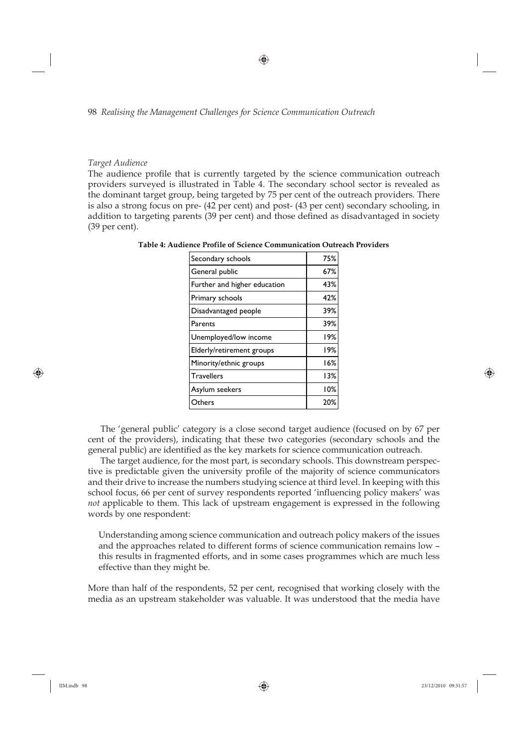### *Target Audience*

The audience profile that is currently targeted by the science communication outreach providers surveyed is illustrated in Table 4. The secondary school sector is revealed as the dominant target group, being targeted by 75 per cent of the outreach providers. There is also a strong focus on pre- (42 per cent) and post- (43 per cent) secondary schooling, in addition to targeting parents (39 per cent) and those defined as disadvantaged in society (39 per cent).

| Secondary schools            | 75% |
|------------------------------|-----|
| General public               | 67% |
| Further and higher education | 43% |
| Primary schools              | 42% |
| Disadvantaged people         | 39% |
| Parents                      | 39% |
| Unemployed/low income        | 19% |
| Elderly/retirement groups    | 19% |
| Minority/ethnic groups       | 16% |
| <b>Travellers</b>            | 13% |
| Asylum seekers               | 10% |
| Others                       | 20% |

**Table 4: Audience Profile of Science Communication Outreach Providers** 

The 'general public' category is a close second target audience (focused on by 67 per cent of the providers), indicating that these two categories (secondary schools and the general public) are identified as the key markets for science communication outreach.

The target audience, for the most part, is secondary schools. This downstream perspective is predictable given the university profile of the majority of science communicators and their drive to increase the numbers studying science at third level. In keeping with this school focus, 66 per cent of survey respondents reported 'influencing policy makers' was *not* applicable to them. This lack of upstream engagement is expressed in the following words by one respondent:

Understanding among science communication and outreach policy makers of the issues and the approaches related to different forms of science communication remains low – this results in fragmented efforts, and in some cases programmes which are much less effective than they might be.

More than half of the respondents, 52 per cent, recognised that working closely with the media as an upstream stakeholder was valuable. It was understood that the media have

⊕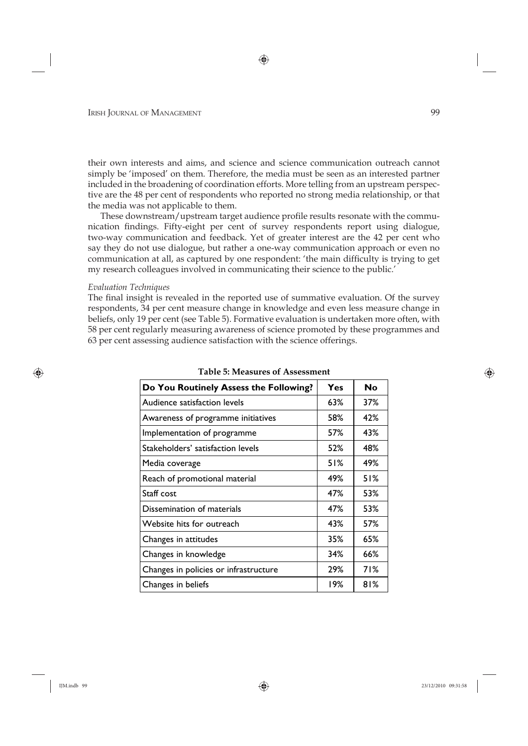their own interests and aims, and science and science communication outreach cannot simply be 'imposed' on them. Therefore, the media must be seen as an interested partner included in the broadening of coordination efforts. More telling from an upstream perspective are the 48 per cent of respondents who reported no strong media relationship, or that the media was not applicable to them.

These downstream/upstream target audience profile results resonate with the communication findings. Fifty-eight per cent of survey respondents report using dialogue, two-way communication and feedback. Yet of greater interest are the 42 per cent who say they do not use dialogue, but rather a one-way communication approach or even no communication at all, as captured by one respondent: 'the main difficulty is trying to get my research colleagues involved in communicating their science to the public.'

### *Evaluation Techniques*

⊕

The final insight is revealed in the reported use of summative evaluation. Of the survey respondents, 34 per cent measure change in knowledge and even less measure change in beliefs, only 19 per cent (see Table 5). Formative evaluation is undertaken more often, with 58 per cent regularly measuring awareness of science promoted by these programmes and 63 per cent assessing audience satisfaction with the science offerings.

| Do You Routinely Assess the Following? | Yes | No  |
|----------------------------------------|-----|-----|
| Audience satisfaction levels           | 63% | 37% |
| Awareness of programme initiatives     | 58% | 42% |
| Implementation of programme            | 57% | 43% |
| Stakeholders' satisfaction levels      | 52% | 48% |
| Media coverage                         | 51% | 49% |
| Reach of promotional material          | 49% | 51% |
| Staff cost                             | 47% | 53% |
| Dissemination of materials             | 47% | 53% |
| Website hits for outreach              | 43% | 57% |
| Changes in attitudes                   | 35% | 65% |
| Changes in knowledge                   | 34% | 66% |
| Changes in policies or infrastructure  | 29% | 71% |
| Changes in beliefs                     | 19% | 81% |

**Table 5: Measures of Assessment**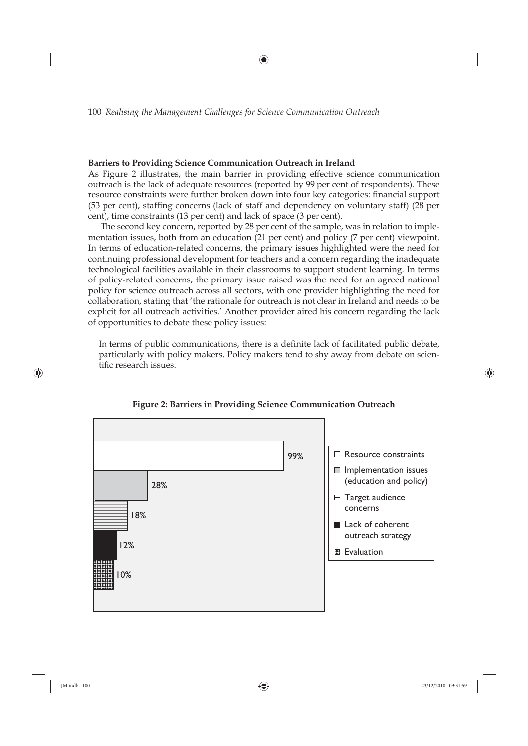### **Barriers to Providing Science Communication Outreach in Ireland**

As Figure 2 illustrates, the main barrier in providing effective science communication outreach is the lack of adequate resources (reported by 99 per cent of respondents). These resource constraints were further broken down into four key categories: financial support (53 per cent), staffing concerns (lack of staff and dependency on voluntary staff) (28 per cent), time constraints (13 per cent) and lack of space (3 per cent).

⊕

The second key concern, reported by 28 per cent of the sample, was in relation to implementation issues, both from an education (21 per cent) and policy (7 per cent) viewpoint. In terms of education-related concerns, the primary issues highlighted were the need for continuing professional development for teachers and a concern regarding the inadequate technological facilities available in their classrooms to support student learning. In terms of policy-related concerns, the primary issue raised was the need for an agreed national policy for science outreach across all sectors, with one provider highlighting the need for collaboration, stating that 'the rationale for outreach is not clear in Ireland and needs to be explicit for all outreach activities.' Another provider aired his concern regarding the lack of opportunities to debate these policy issues:

In terms of public communications, there is a definite lack of facilitated public debate, particularly with policy makers. Policy makers tend to shy away from debate on scientific research issues.



### **Figure 2: Barriers in Providing Science Communication Outreach**

⊕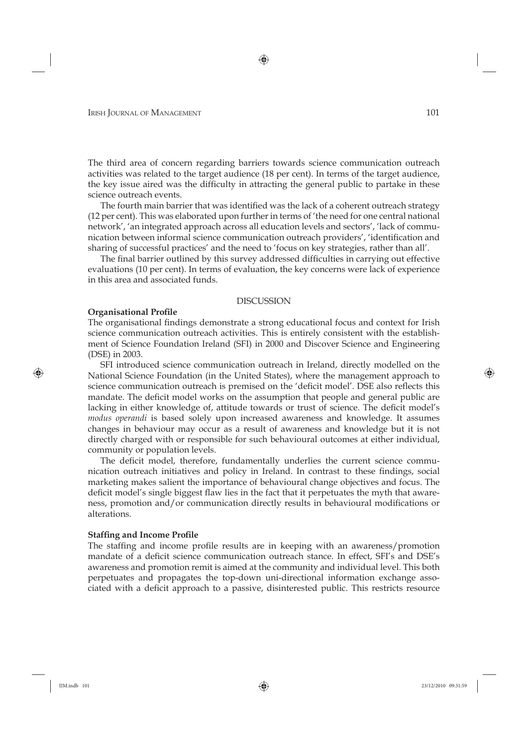The third area of concern regarding barriers towards science communication outreach activities was related to the target audience (18 per cent). In terms of the target audience, the key issue aired was the difficulty in attracting the general public to partake in these science outreach events.

The fourth main barrier that was identified was the lack of a coherent outreach strategy (12 per cent). This was elaborated upon further in terms of 'the need for one central national network', 'an integrated approach across all education levels and sectors', 'lack of communication between informal science communication outreach providers', 'identification and sharing of successful practices' and the need to 'focus on key strategies, rather than all'.

The final barrier outlined by this survey addressed difficulties in carrying out effective evaluations (10 per cent). In terms of evaluation, the key concerns were lack of experience in this area and associated funds.

### DISCUSSION

### **Organisational Profile**

The organisational findings demonstrate a strong educational focus and context for Irish science communication outreach activities. This is entirely consistent with the establishment of Science Foundation Ireland (SFI) in 2000 and Discover Science and Engineering (DSE) in 2003.

SFI introduced science communication outreach in Ireland, directly modelled on the National Science Foundation (in the United States), where the management approach to science communication outreach is premised on the 'deficit model'. DSE also reflects this mandate. The deficit model works on the assumption that people and general public are lacking in either knowledge of, attitude towards or trust of science. The deficit model's *modus operandi* is based solely upon increased awareness and knowledge. It assumes changes in behaviour may occur as a result of awareness and knowledge but it is not directly charged with or responsible for such behavioural outcomes at either individual, community or population levels.

The deficit model, therefore, fundamentally underlies the current science communication outreach initiatives and policy in Ireland. In contrast to these findings, social marketing makes salient the importance of behavioural change objectives and focus. The deficit model's single biggest flaw lies in the fact that it perpetuates the myth that awareness, promotion and/or communication directly results in behavioural modifications or alterations.

### **Staffing and Income Profile**

The staffing and income profile results are in keeping with an awareness/promotion mandate of a deficit science communication outreach stance. In effect, SFI's and DSE's awareness and promotion remit is aimed at the community and individual level. This both perpetuates and propagates the top-down uni-directional information exchange associated with a deficit approach to a passive, disinterested public. This restricts resource

⊕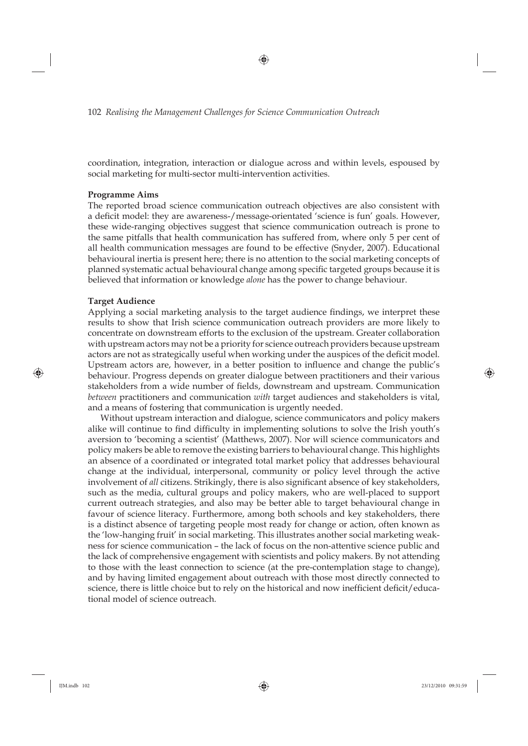coordination, integration, interaction or dialogue across and within levels, espoused by social marketing for multi-sector multi-intervention activities.

### **Programme Aims**

The reported broad science communication outreach objectives are also consistent with a deficit model: they are awareness-/message-orientated 'science is fun' goals. However, these wide-ranging objectives suggest that science communication outreach is prone to the same pitfalls that health communication has suffered from, where only 5 per cent of all health communication messages are found to be effective (Snyder, 2007). Educational behavioural inertia is present here; there is no attention to the social marketing concepts of planned systematic actual behavioural change among specific targeted groups because it is believed that information or knowledge *alone* has the power to change behaviour.

# **Target Audience**

⊕

Applying a social marketing analysis to the target audience findings, we interpret these results to show that Irish science communication outreach providers are more likely to concentrate on downstream efforts to the exclusion of the upstream. Greater collaboration with upstream actors may not be a priority for science outreach providers because upstream actors are not as strategically useful when working under the auspices of the deficit model. Upstream actors are, however, in a better position to influence and change the public's behaviour. Progress depends on greater dialogue between practitioners and their various stakeholders from a wide number of fields, downstream and upstream. Communication *between* practitioners and communication *with* target audiences and stakeholders is vital, and a means of fostering that communication is urgently needed.

Without upstream interaction and dialogue, science communicators and policy makers alike will continue to find difficulty in implementing solutions to solve the Irish youth's aversion to 'becoming a scientist' (Matthews, 2007). Nor will science communicators and policy makers be able to remove the existing barriers to behavioural change. This highlights an absence of a coordinated or integrated total market policy that addresses behavioural change at the individual, interpersonal, community or policy level through the active involvement of *all* citizens. Strikingly, there is also significant absence of key stakeholders, such as the media, cultural groups and policy makers, who are well-placed to support current outreach strategies, and also may be better able to target behavioural change in favour of science literacy. Furthermore, among both schools and key stakeholders, there is a distinct absence of targeting people most ready for change or action, often known as the 'low-hanging fruit' in social marketing. This illustrates another social marketing weakness for science communication – the lack of focus on the non-attentive science public and the lack of comprehensive engagement with scientists and policy makers. By not attending to those with the least connection to science (at the pre-contemplation stage to change), and by having limited engagement about outreach with those most directly connected to science, there is little choice but to rely on the historical and now inefficient deficit/educational model of science outreach.

⊕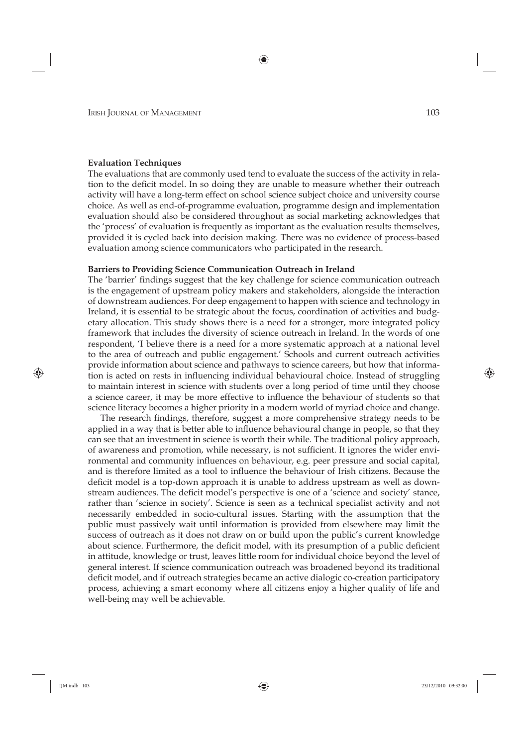### **Evaluation Techniques**

The evaluations that are commonly used tend to evaluate the success of the activity in relation to the deficit model. In so doing they are unable to measure whether their outreach activity will have a long-term effect on school science subject choice and university course choice. As well as end-of-programme evaluation, programme design and implementation evaluation should also be considered throughout as social marketing acknowledges that the 'process' of evaluation is frequently as important as the evaluation results themselves, provided it is cycled back into decision making. There was no evidence of process-based evaluation among science communicators who participated in the research.

### **Barriers to Providing Science Communication Outreach in Ireland**

The 'barrier' findings suggest that the key challenge for science communication outreach is the engagement of upstream policy makers and stakeholders, alongside the interaction of downstream audiences. For deep engagement to happen with science and technology in Ireland, it is essential to be strategic about the focus, coordination of activities and budgetary allocation. This study shows there is a need for a stronger, more integrated policy framework that includes the diversity of science outreach in Ireland. In the words of one respondent, 'I believe there is a need for a more systematic approach at a national level to the area of outreach and public engagement.' Schools and current outreach activities provide information about science and pathways to science careers, but how that information is acted on rests in influencing individual behavioural choice. Instead of struggling to maintain interest in science with students over a long period of time until they choose a science career, it may be more effective to influence the behaviour of students so that science literacy becomes a higher priority in a modern world of myriad choice and change.

The research findings, therefore, suggest a more comprehensive strategy needs to be applied in a way that is better able to influence behavioural change in people, so that they can see that an investment in science is worth their while. The traditional policy approach, of awareness and promotion, while necessary, is not sufficient. It ignores the wider environmental and community influences on behaviour, e.g. peer pressure and social capital, and is therefore limited as a tool to influence the behaviour of Irish citizens. Because the deficit model is a top-down approach it is unable to address upstream as well as downstream audiences. The deficit model's perspective is one of a 'science and society' stance, rather than 'science in society'. Science is seen as a technical specialist activity and not necessarily embedded in socio-cultural issues. Starting with the assumption that the public must passively wait until information is provided from elsewhere may limit the success of outreach as it does not draw on or build upon the public's current knowledge about science. Furthermore, the deficit model, with its presumption of a public deficient in attitude, knowledge or trust, leaves little room for individual choice beyond the level of general interest. If science communication outreach was broadened beyond its traditional deficit model, and if outreach strategies became an active dialogic co-creation participatory process, achieving a smart economy where all citizens enjoy a higher quality of life and well-being may well be achievable.

⊕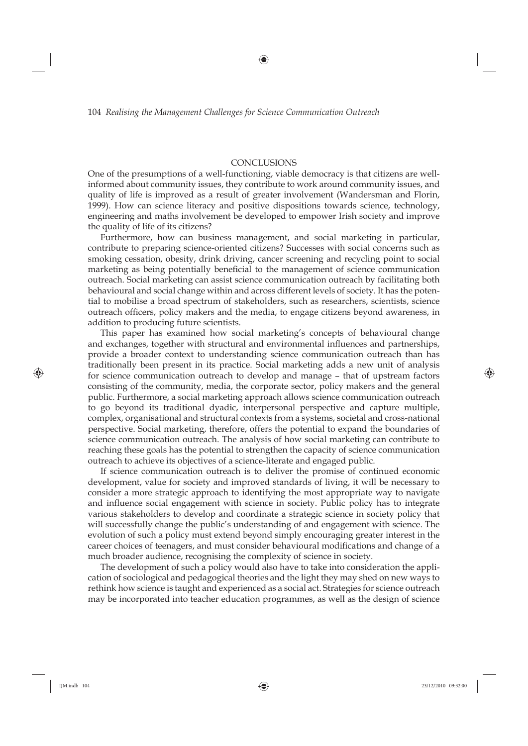### **CONCLUSIONS**

One of the presumptions of a well-functioning, viable democracy is that citizens are wellinformed about community issues, they contribute to work around community issues, and quality of life is improved as a result of greater involvement (Wandersman and Florin, 1999). How can science literacy and positive dispositions towards science, technology, engineering and maths involvement be developed to empower Irish society and improve the quality of life of its citizens?

Furthermore, how can business management, and social marketing in particular, contribute to preparing science-oriented citizens? Successes with social concerns such as smoking cessation, obesity, drink driving, cancer screening and recycling point to social marketing as being potentially beneficial to the management of science communication outreach. Social marketing can assist science communication outreach by facilitating both behavioural and social change within and across different levels of society. It has the potential to mobilise a broad spectrum of stakeholders, such as researchers, scientists, science outreach officers, policy makers and the media, to engage citizens beyond awareness, in addition to producing future scientists.

This paper has examined how social marketing's concepts of behavioural change and exchanges, together with structural and environmental influences and partnerships, provide a broader context to understanding science communication outreach than has traditionally been present in its practice. Social marketing adds a new unit of analysis for science communication outreach to develop and manage – that of upstream factors consisting of the community, media, the corporate sector, policy makers and the general public. Furthermore, a social marketing approach allows science communication outreach to go beyond its traditional dyadic, interpersonal perspective and capture multiple, complex, organisational and structural contexts from a systems, societal and cross-national perspective. Social marketing, therefore, offers the potential to expand the boundaries of science communication outreach. The analysis of how social marketing can contribute to reaching these goals has the potential to strengthen the capacity of science communication outreach to achieve its objectives of a science-literate and engaged public.

If science communication outreach is to deliver the promise of continued economic development, value for society and improved standards of living, it will be necessary to consider a more strategic approach to identifying the most appropriate way to navigate and influence social engagement with science in society. Public policy has to integrate various stakeholders to develop and coordinate a strategic science in society policy that will successfully change the public's understanding of and engagement with science. The evolution of such a policy must extend beyond simply encouraging greater interest in the career choices of teenagers, and must consider behavioural modifications and change of a much broader audience, recognising the complexity of science in society.

The development of such a policy would also have to take into consideration the application of sociological and pedagogical theories and the light they may shed on new ways to rethink how science is taught and experienced as a social act. Strategies for science outreach may be incorporated into teacher education programmes, as well as the design of science

⊕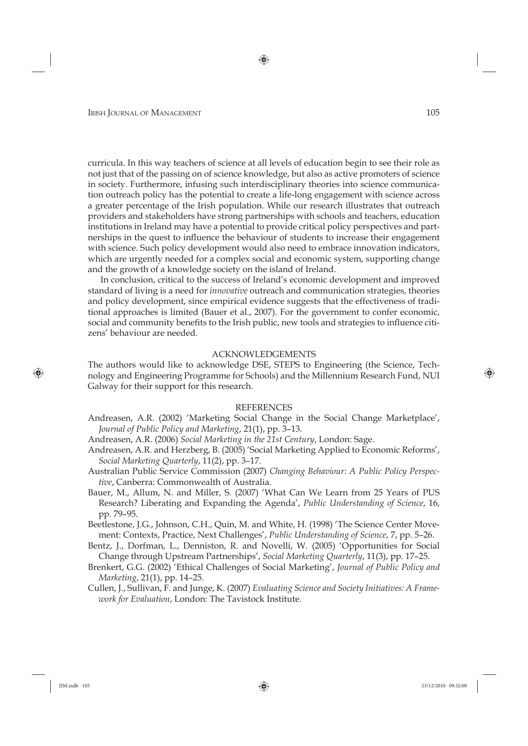curricula. In this way teachers of science at all levels of education begin to see their role as not just that of the passing on of science knowledge, but also as active promoters of science in society. Furthermore, infusing such interdisciplinary theories into science communication outreach policy has the potential to create a life-long engagement with science across a greater percentage of the Irish population. While our research illustrates that outreach providers and stakeholders have strong partnerships with schools and teachers, education institutions in Ireland may have a potential to provide critical policy perspectives and partnerships in the quest to influence the behaviour of students to increase their engagement with science. Such policy development would also need to embrace innovation indicators, which are urgently needed for a complex social and economic system, supporting change and the growth of a knowledge society on the island of Ireland.

In conclusion, critical to the success of Ireland's economic development and improved standard of living is a need for *innovative* outreach and communication strategies, theories and policy development, since empirical evidence suggests that the effectiveness of traditional approaches is limited (Bauer et al., 2007). For the government to confer economic, social and community benefits to the Irish public, new tools and strategies to influence citizens' behaviour are needed.

### ACKNOWLEDGEMENTS

The authors would like to acknowledge DSE, STEPS to Engineering (the Science, Technology and Engineering Programme for Schools) and the Millennium Research Fund, NUI Galway for their support for this research.

### REFERENCES

- Andreasen, A.R. (2002) 'Marketing Social Change in the Social Change Marketplace', *Journal of Public Policy and Marketing*, 21(1), pp. 3–13.
- Andreasen, A.R. (2006) *Social Marketing in the 21st Century*, London: Sage.
- Andreasen, A.R. and Herzberg, B. (2005) 'Social Marketing Applied to Economic Reforms', *Social Marketing Quarterly*, 11(2), pp. 3–17.
- Australian Public Service Commission (2007) *Changing Behaviour: A Public Policy Perspective*, Canberra: Commonwealth of Australia.
- Bauer, M., Allum, N. and Miller, S. (2007) 'What Can We Learn from 25 Years of PUS Research? Liberating and Expanding the Agenda', *Public Understanding of Science*, 16, pp. 79–95.

Beetlestone, J.G., Johnson, C.H., Quin, M. and White, H. (1998) 'The Science Center Movement: Contexts, Practice, Next Challenges', *Public Understanding of Science*, 7, pp. 5–26.

Bentz, J., Dorfman, L., Denniston, R. and Novelli, W. (2005) 'Opportunities for Social Change through Upstream Partnerships', *Social Marketing Quarterly*, 11(3), pp. 17–25.

- Brenkert, G.G. (2002) 'Ethical Challenges of Social Marketing', *Journal of Public Policy and Marketing*, 21(1), pp. 14–25.
- Cullen, J., Sullivan, F. and Junge, K. (2007) *Evaluating Science and Society Initiatives: A Framework for Evaluation*, London: The Tavistock Institute.

⊕

♠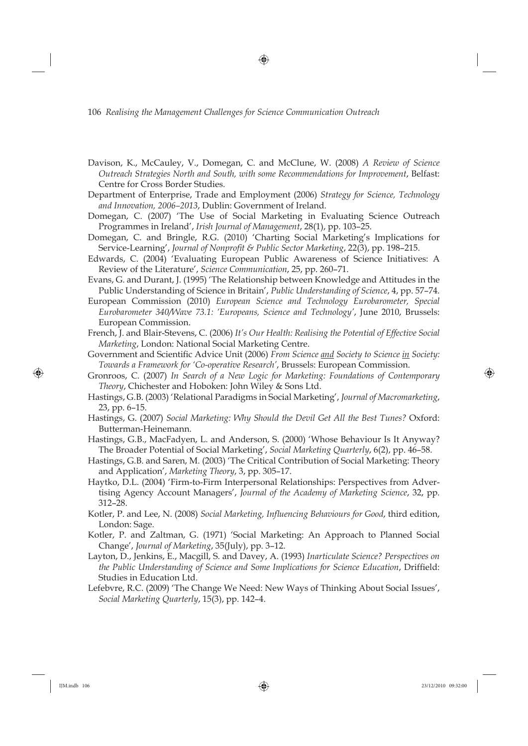Davison, K., McCauley, V., Domegan, C. and McClune, W. (2008) *A Review of Science Outreach Strategies North and South, with some Recommendations for Improvement*, Belfast: Centre for Cross Border Studies.

⊕

Department of Enterprise, Trade and Employment (2006) *Strategy for Science, Technology and Innovation, 2006–2013*, Dublin: Government of Ireland.

- Domegan, C. (2007) 'The Use of Social Marketing in Evaluating Science Outreach Programmes in Ireland', *Irish Journal of Management*, 28(1), pp. 103–25.
- Domegan, C. and Bringle, R.G. (2010) 'Charting Social Marketing's Implications for Service-Learning', *Journal of Nonprofit & Public Sector Marketing*, 22(3), pp. 198-215.
- Edwards, C. (2004) 'Evaluating European Public Awareness of Science Initiatives: A Review of the Literature', *Science Communication*, 25, pp. 260–71.
- Evans, G. and Durant, J. (1995) 'The Relationship between Knowledge and Attitudes in the Public Understanding of Science in Britain', *Public Understanding of Science*, 4, pp. 57–74.
- European Commission (2010) *European Science and Technology Eurobarometer, Special Euro barometer 340/Wave 73.1: 'Europeans, Science and Technology'*, June 2010, Brussels: European Commission.
- French, J. and Blair-Stevens, C. (2006) *It's Our Health: Realising the Potential of Effective Social Marketing*, London: National Social Marketing Centre.
- Government and Scientific Advice Unit (2006) *From Science and Society to Science in Society: Towards a Framework for 'Co-operative Research'*, Brussels: European Commission.
- Gronroos, C. (2007) *In Search of a New Logic for Marketing: Foundations of Contemporary Theory*, Chichester and Hoboken: John Wiley & Sons Ltd.
- Hastings, G.B. (2003) 'Relational Paradigms in Social Marketing', *Journal of Macromarketing*, 23, pp. 6–15.
- Hastings, G. (2007) *Social Marketing: Why Should the Devil Get All the Best Tunes?* Oxford: Butterman-Heinemann.
- Hastings, G.B., MacFadyen, L. and Anderson, S. (2000) 'Whose Behaviour Is It Anyway? The Broader Potential of Social Marketing', *Social Marketing Quarterly*, 6(2), pp. 46–58.
- Hastings, G.B. and Saren, M. (2003) 'The Critical Contribution of Social Marketing: Theory and Application', *Marketing Theory*, 3, pp. 305–17.
- Haytko, D.L. (2004) 'Firm-to-Firm Interpersonal Relationships: Perspectives from Advertising Agency Account Managers', *Journal of the Academy of Marketing Science*, 32, pp. 312–28.
- Kotler, P. and Lee, N. (2008) *Social Marketing, Influencing Behaviours for Good*, third edition, London: Sage.
- Kotler, P. and Zaltman, G. (1971) 'Social Marketing: An Approach to Planned Social Change', *Journal of Marketing*, 35(July), pp. 3–12.
- Layton, D., Jenkins, E., Macgill, S. and Davey, A. (1993) *Inarticulate Science? Perspectives on the Public Understanding of Science and Some Implications for Science Education, Driffield:* Studies in Education Ltd.
- Lefebvre, R.C. (2009) 'The Change We Need: New Ways of Thinking About Social Issues', *Social Marketing Quarterly*, 15(3), pp. 142–4.

⊕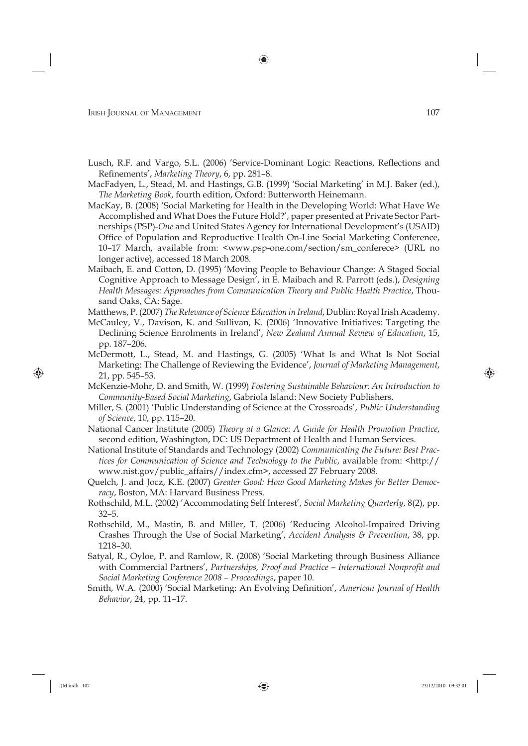Lusch, R.F. and Vargo, S.L. (2006) 'Service-Dominant Logic: Reactions, Reflections and Refinements', *Marketing Theory*, 6, pp. 281-8.

⊕

- MacFadyen, L., Stead, M. and Hastings, G.B. (1999) 'Social Marketing' in M.J. Baker (ed.), *The Marketing Book*, fourth edition, Oxford: Butterworth Heinemann.
- MacKay, B. (2008) 'Social Marketing for Health in the Developing World: What Have We Accomplished and What Does the Future Hold?', paper presented at Private Sector Partnerships (PSP)-*One* and United States Agency for International Development's (USAID) Office of Population and Reproductive Health On-Line Social Marketing Conference, 10–17 March, available from: <www.psp-one.com/section/sm\_conferece> (URL no longer active), accessed 18 March 2008.
- Maibach, E. and Cotton, D. (1995) 'Moving People to Behaviour Change: A Staged Social Cognitive Approach to Message Design', in E. Maibach and R. Parrott (eds.), *Designing Health Messages: Approaches from Communication Theory and Public Health Practice*, Thousand Oaks, CA: Sage.
- Matthews, P. (2007) *The Relevance of Science Education in Ireland*, Dublin: Royal Irish Academy.
- McCauley, V., Davison, K. and Sullivan, K. (2006) 'Innovative Initiatives: Targeting the Declining Science Enrolments in Ireland', *New Zealand Annual Review of Education*, 15, pp. 187–206.
- McDermott, L., Stead, M. and Hastings, G. (2005) 'What Is and What Is Not Social Marketing: The Challenge of Reviewing the Evidence', *Journal of Marketing Management*, 21, pp. 545–53.
- McKenzie-Mohr, D. and Smith, W. (1999) *Fostering Sustainable Behaviour: An Introduction to Community-Based Social Marketing*, Gabriola Island: New Society Publishers.
- Miller, S. (2001) 'Public Understanding of Science at the Crossroads', *Public Understanding of Science*, 10, pp. 115–20.
- National Cancer Institute (2005) *Theory at a Glance: A Guide for Health Promotion Practice*, second edition, Washington, DC: US Department of Health and Human Services.
- National Institute of Standards and Technology (2002) *Communicating the Future: Best Practices for Communication of Science and Technology to the Public*, available from: <http:// www.nist.gov/public\_affairs//index.cfm>, accessed 27 February 2008.
- Quelch, J. and Jocz, K.E. (2007) *Greater Good: How Good Marketing Makes for Better Democracy*, Boston, MA: Harvard Business Press.
- Rothschild, M.L. (2002) 'Accommodating Self Interest', *Social Marketing Quarterly*, 8(2), pp. 32–5.
- Rothschild, M., Mastin, B. and Miller, T. (2006) 'Reducing Alcohol-Impaired Driving Crashes Through the Use of Social Marketing', *Accident Analysis & Prevention*, 38, pp. 1218–30.
- Satyal, R., Oyloe, P. and Ramlow, R. (2008) 'Social Marketing through Business Alliance with Commercial Partners', Partnerships, Proof and Practice - International Nonprofit and *Social Marketing Conference 2008 – Proceedings*, paper 10.
- Smith, W.A. (2000) 'Social Marketing: An Evolving Definition', *American Journal of Health Behavior*, 24, pp. 11–17.

⊕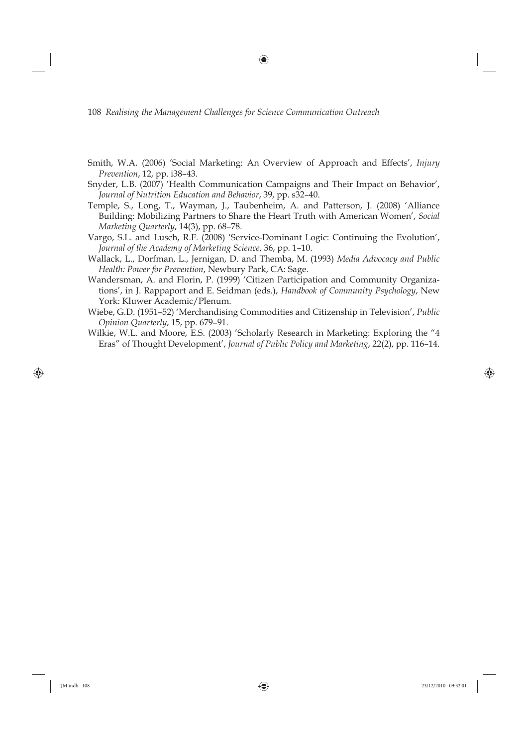- Smith, W.A. (2006) 'Social Marketing: An Overview of Approach and Effects', *Injury Prevention*, 12, pp. i38–43.
- Snyder, L.B. (2007) 'Health Communication Campaigns and Their Impact on Behavior', *Journal of Nutrition Education and Behavior*, 39, pp. s32–40.
- Temple, S., Long, T., Wayman, J., Taubenheim, A. and Patterson, J. (2008) 'Alliance Building: Mobilizing Partners to Share the Heart Truth with American Women', *Social Marketing Quarterly*, 14(3), pp. 68–78.
- Vargo, S.L. and Lusch, R.F. (2008) 'Service-Dominant Logic: Continuing the Evolution', *Journal of the Academy of Marketing Science*, 36, pp. 1–10.
- Wallack, L., Dorfman, L., Jernigan, D. and Themba, M. (1993) *Media Advocacy and Public Health: Power for Prevention*, Newbury Park, CA: Sage.
- Wandersman, A. and Florin, P. (1999) 'Citizen Participation and Community Organizations', in J. Rappaport and E. Seidman (eds.), *Handbook of Community Psychology*, New York: Kluwer Academic/Plenum.
- Wiebe, G.D. (1951–52) 'Merchandising Commodities and Citizenship in Television', *Public Opinion Quarterly*, 15, pp. 679–91.
- Wilkie, W.L. and Moore, E.S. (2003) 'Scholarly Research in Marketing: Exploring the "4 Eras" of Thought Development', *Journal of Public Policy and Marketing*, 22(2), pp. 116–14.

⊕